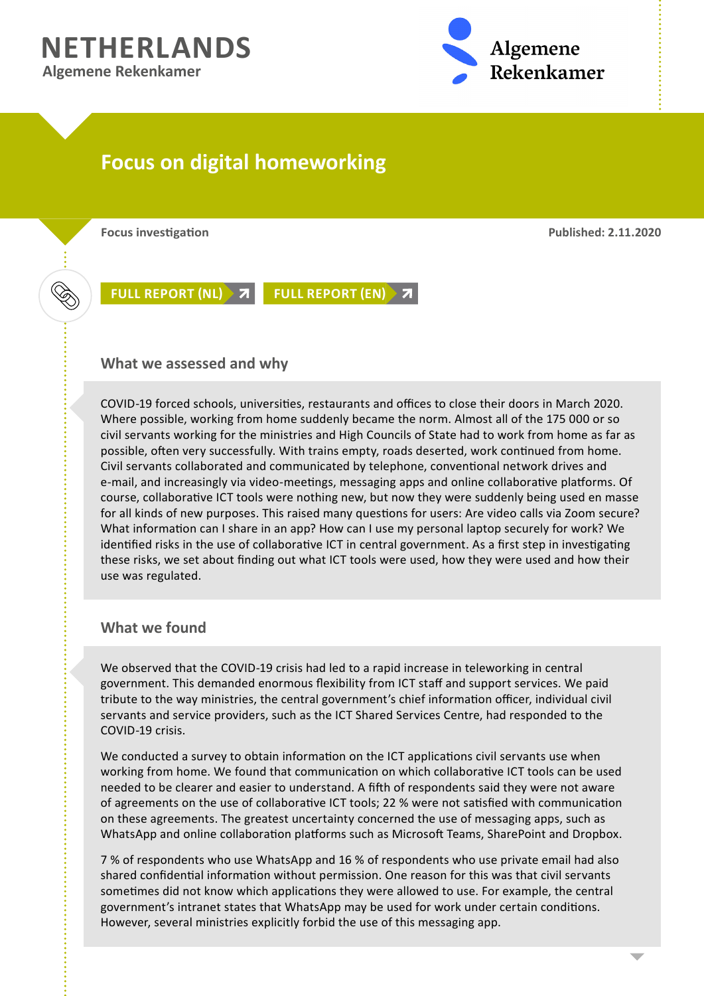## **NETHERLANDS Algemene Rekenkamer**



# **Focus on digital homeworking**

**Focus investigation Published: 2.11.2020**

**[FULL REPORT \(NL\)](https://www.rekenkamer.nl/publicaties/publicaties/2020/11/02/focus-op-digitaal-thuiswerken) [FULL REPORT \(EN\)](https://english.rekenkamer.nl/publications/publications/2020/11/02/focus-on-digital-home-working)**

#### **What we assessed and why**

COVID-19 forced schools, universities, restaurants and offices to close their doors in March 2020. Where possible, working from home suddenly became the norm. Almost all of the 175 000 or so civil servants working for the ministries and High Councils of State had to work from home as far as possible, often very successfully. With trains empty, roads deserted, work continued from home. Civil servants collaborated and communicated by telephone, conventional network drives and e-mail, and increasingly via video-meetings, messaging apps and online collaborative platforms. Of course, collaborative ICT tools were nothing new, but now they were suddenly being used en masse for all kinds of new purposes. This raised many questions for users: Are video calls via Zoom secure? What information can I share in an app? How can I use my personal laptop securely for work? We identified risks in the use of collaborative ICT in central government. As a first step in investigating these risks, we set about finding out what ICT tools were used, how they were used and how their use was regulated.

## **What we found**

We observed that the COVID-19 crisis had led to a rapid increase in teleworking in central government. This demanded enormous flexibility from ICT staff and support services. We paid tribute to the way ministries, the central government's chief information officer, individual civil servants and service providers, such as the ICT Shared Services Centre, had responded to the COVID-19 crisis.

We conducted a survey to obtain information on the ICT applications civil servants use when working from home. We found that communication on which collaborative ICT tools can be used needed to be clearer and easier to understand. A fifth of respondents said they were not aware of agreements on the use of collaborative ICT tools; 22 % were not satisfied with communication on these agreements. The greatest uncertainty concerned the use of messaging apps, such as WhatsApp and online collaboration platforms such as Microsoft Teams, SharePoint and Dropbox.

7 % of respondents who use WhatsApp and 16 % of respondents who use private email had also shared confidential information without permission. One reason for this was that civil servants sometimes did not know which applications they were allowed to use. For example, the central government's intranet states that WhatsApp may be used for work under certain conditions. However, several ministries explicitly forbid the use of this messaging app.